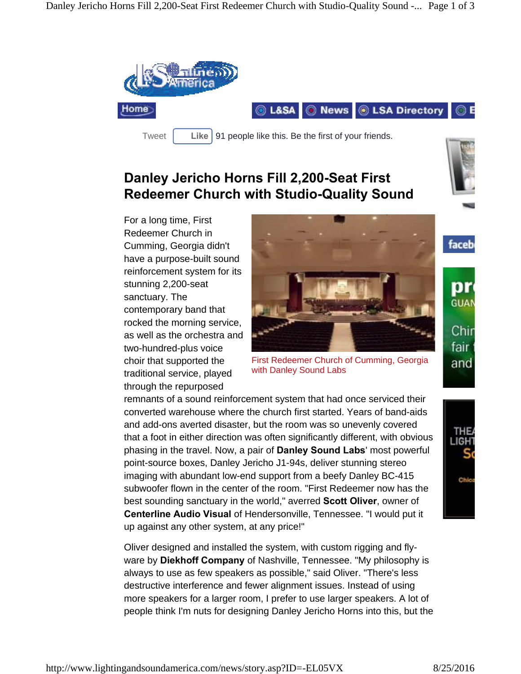

## **Danley Jericho Horns Fill 2,200-Seat First Redeemer Church with Studio-Quality Sound**



faceb

ОН GUAI

Chir fair

For a long time, First Redeemer Church in Cumming, Georgia didn't have a purpose-built sound reinforcement system for its stunning 2,200-seat sanctuary. The contemporary band that rocked the morning service, as well as the orchestra and two-hundred-plus voice choir that supported the traditional service, played through the repurposed



First Redeemer Church of Cumming, Georgia and with Danley Sound Labs

remnants of a sound reinforcement system that had once serviced their converted warehouse where the church first started. Years of band-aids and add-ons averted disaster, but the room was so unevenly covered that a foot in either direction was often significantly different, with obvious  $\|\cdot\|_{\mathbb{H}}$ phasing in the travel. Now, a pair of **Danley Sound Labs**' most powerful point-source boxes, Danley Jericho J1-94s, deliver stunning stereo imaging with abundant low-end support from a beefy Danley BC-415 subwoofer flown in the center of the room. "First Redeemer now has the best sounding sanctuary in the world," averred **Scott Oliver**, owner of **Centerline Audio Visual** of Hendersonville, Tennessee. "I would put it up against any other system, at any price!"

Oliver designed and installed the system, with custom rigging and flyware by **Diekhoff Company** of Nashville, Tennessee. "My philosophy is always to use as few speakers as possible," said Oliver. "There's less destructive interference and fewer alignment issues. Instead of using more speakers for a larger room, I prefer to use larger speakers. A lot of people think I'm nuts for designing Danley Jericho Horns into this, but the

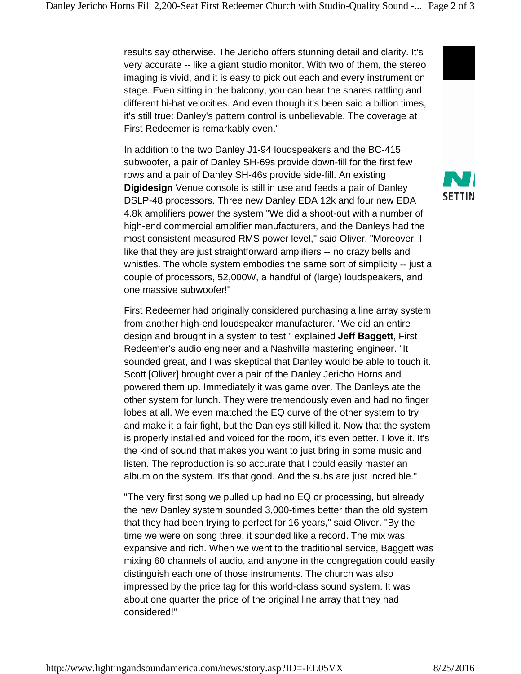results say otherwise. The Jericho offers stunning detail and clarity. It's very accurate -- like a giant studio monitor. With two of them, the stereo imaging is vivid, and it is easy to pick out each and every instrument on stage. Even sitting in the balcony, you can hear the snares rattling and different hi-hat velocities. And even though it's been said a billion times, it's still true: Danley's pattern control is unbelievable. The coverage at First Redeemer is remarkably even."

In addition to the two Danley J1-94 loudspeakers and the BC-415 subwoofer, a pair of Danley SH-69s provide down-fill for the first few rows and a pair of Danley SH-46s provide side-fill. An existing **Digidesign** Venue console is still in use and feeds a pair of Danley<br>DSLB 48 presessors Three now Danloy EDA 12k and four now EDA **SETTIN** DSLP-48 processors. Three new Danley EDA 12k and four new EDA 4.8k amplifiers power the system "We did a shoot-out with a number of high-end commercial amplifier manufacturers, and the Danleys had the most consistent measured RMS power level," said Oliver. "Moreover, I like that they are just straightforward amplifiers -- no crazy bells and whistles. The whole system embodies the same sort of simplicity -- just a couple of processors, 52,000W, a handful of (large) loudspeakers, and one massive subwoofer!"

First Redeemer had originally considered purchasing a line array system from another high-end loudspeaker manufacturer. "We did an entire design and brought in a system to test," explained **Jeff Baggett**, First Redeemer's audio engineer and a Nashville mastering engineer. "It sounded great, and I was skeptical that Danley would be able to touch it. Scott [Oliver] brought over a pair of the Danley Jericho Horns and powered them up. Immediately it was game over. The Danleys ate the other system for lunch. They were tremendously even and had no finger lobes at all. We even matched the EQ curve of the other system to try and make it a fair fight, but the Danleys still killed it. Now that the system is properly installed and voiced for the room, it's even better. I love it. It's the kind of sound that makes you want to just bring in some music and listen. The reproduction is so accurate that I could easily master an album on the system. It's that good. And the subs are just incredible."

"The very first song we pulled up had no EQ or processing, but already the new Danley system sounded 3,000-times better than the old system that they had been trying to perfect for 16 years," said Oliver. "By the time we were on song three, it sounded like a record. The mix was expansive and rich. When we went to the traditional service, Baggett was mixing 60 channels of audio, and anyone in the congregation could easily distinguish each one of those instruments. The church was also impressed by the price tag for this world-class sound system. It was about one quarter the price of the original line array that they had considered!"